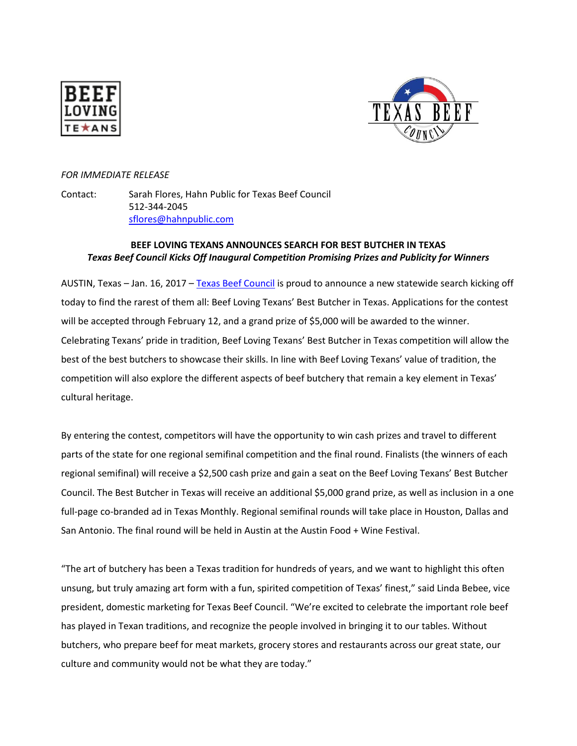



## *FOR IMMEDIATE RELEASE*

Contact: Sarah Flores, Hahn Public for Texas Beef Council 512-344-2045 [sflores@hahnpublic.com](mailto:sflores@hahnpublic.com)

## **BEEF LOVING TEXANS ANNOUNCES SEARCH FOR BEST BUTCHER IN TEXAS** *Texas Beef Council Kicks Off Inaugural Competition Promising Prizes and Publicity for Winners*

AUSTIN, Texas – Jan. 16, 2017 – [Texas Beef Council](http://www.beeflovingtexans.com/) is proud to announce a new statewide search kicking off today to find the rarest of them all: Beef Loving Texans' Best Butcher in Texas. Applications for the contest will be accepted through February 12, and a grand prize of \$5,000 will be awarded to the winner. Celebrating Texans' pride in tradition, Beef Loving Texans' Best Butcher in Texas competition will allow the best of the best butchers to showcase their skills. In line with Beef Loving Texans' value of tradition, the competition will also explore the different aspects of beef butchery that remain a key element in Texas' cultural heritage.

By entering the contest, competitors will have the opportunity to win cash prizes and travel to different parts of the state for one regional semifinal competition and the final round. Finalists (the winners of each regional semifinal) will receive a \$2,500 cash prize and gain a seat on the Beef Loving Texans' Best Butcher Council. The Best Butcher in Texas will receive an additional \$5,000 grand prize, as well as inclusion in a one full-page co-branded ad in Texas Monthly. Regional semifinal rounds will take place in Houston, Dallas and San Antonio. The final round will be held in Austin at the Austin Food + Wine Festival.

"The art of butchery has been a Texas tradition for hundreds of years, and we want to highlight this often unsung, but truly amazing art form with a fun, spirited competition of Texas' finest," said Linda Bebee, vice president, domestic marketing for Texas Beef Council. "We're excited to celebrate the important role beef has played in Texan traditions, and recognize the people involved in bringing it to our tables. Without butchers, who prepare beef for meat markets, grocery stores and restaurants across our great state, our culture and community would not be what they are today."